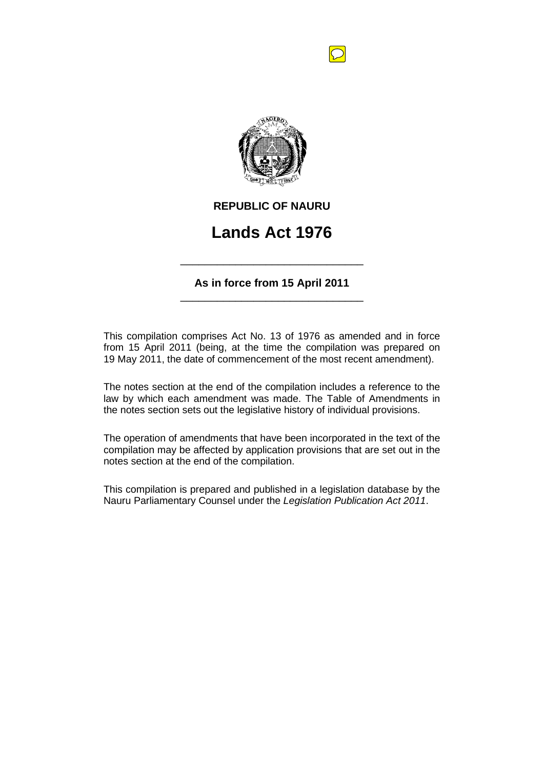

## **REPUBLIC OF NAURU**

# **Lands Act 1976**

**As in force from 15 April 2011** \_\_\_\_\_\_\_\_\_\_\_\_\_\_\_\_\_\_\_\_\_\_\_\_\_\_\_\_\_\_

\_\_\_\_\_\_\_\_\_\_\_\_\_\_\_\_\_\_\_\_\_\_\_\_\_\_\_\_\_\_

This compilation comprises Act No. 13 of 1976 as amended and in force from 15 April 2011 (being, at the time the compilation was prepared on 19 May 2011, the date of commencement of the most recent amendment).

The notes section at the end of the compilation includes a reference to the law by which each amendment was made. The Table of Amendments in the notes section sets out the legislative history of individual provisions.

The operation of amendments that have been incorporated in the text of the compilation may be affected by application provisions that are set out in the notes section at the end of the compilation.

This compilation is prepared and published in a legislation database by the Nauru Parliamentary Counsel under the *Legislation Publication Act 2011*.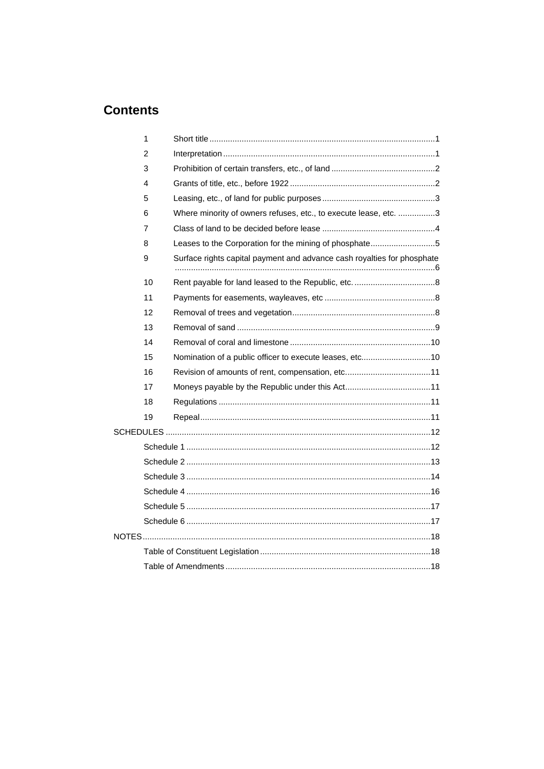# **Contents**

| 1  |                                                                         |  |
|----|-------------------------------------------------------------------------|--|
| 2  |                                                                         |  |
| 3  |                                                                         |  |
| 4  |                                                                         |  |
| 5  |                                                                         |  |
| 6  | Where minority of owners refuses, etc., to execute lease, etc. 3        |  |
| 7  |                                                                         |  |
| 8  | Leases to the Corporation for the mining of phosphate5                  |  |
| 9  | Surface rights capital payment and advance cash royalties for phosphate |  |
| 10 |                                                                         |  |
| 11 |                                                                         |  |
| 12 |                                                                         |  |
| 13 |                                                                         |  |
| 14 |                                                                         |  |
| 15 | Nomination of a public officer to execute leases, etc10                 |  |
| 16 | Revision of amounts of rent, compensation, etc11                        |  |
| 17 |                                                                         |  |
| 18 |                                                                         |  |
| 19 |                                                                         |  |
|    |                                                                         |  |
|    |                                                                         |  |
|    |                                                                         |  |
|    |                                                                         |  |
|    |                                                                         |  |
|    |                                                                         |  |
|    |                                                                         |  |
|    |                                                                         |  |
|    |                                                                         |  |
|    |                                                                         |  |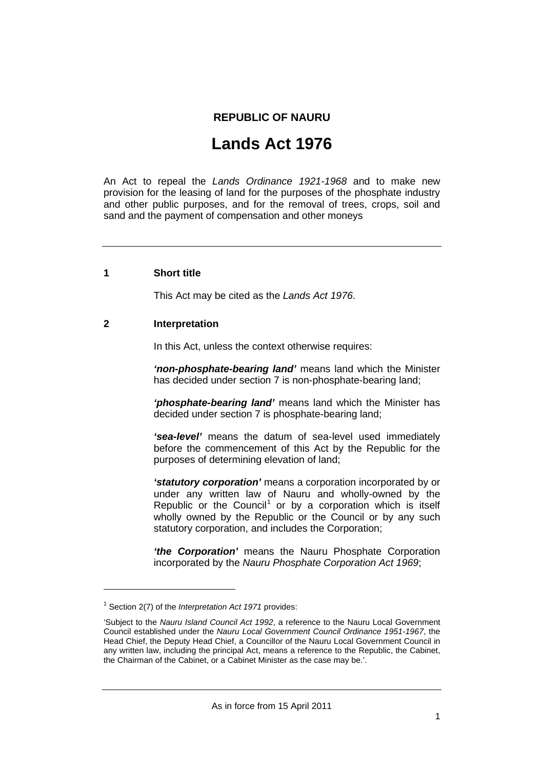### **REPUBLIC OF NAURU**

# **Lands Act 1976**

An Act to repeal the *Lands Ordinance 1921-1968* and to make new provision for the leasing of land for the purposes of the phosphate industry and other public purposes, and for the removal of trees, crops, soil and sand and the payment of compensation and other moneys

#### **1 Short title**

This Act may be cited as the *Lands Act 1976*.

#### **2 Interpretation**

In this Act, unless the context otherwise requires:

*'non-phosphate-bearing land'* means land which the Minister has decided under section 7 is non-phosphate-bearing land;

*'phosphate-bearing land'* means land which the Minister has decided under section 7 is phosphate-bearing land;

*'sea-level'* means the datum of sea-level used immediately before the commencement of this Act by the Republic for the purposes of determining elevation of land;

*'statutory corporation'* means a corporation incorporated by or under any written law of Nauru and wholly-owned by the Republic or the Council<sup>[1](#page-2-0)</sup> or by a corporation which is itself wholly owned by the Republic or the Council or by any such statutory corporation, and includes the Corporation;

*'the Corporation'* means the Nauru Phosphate Corporation incorporated by the *Nauru Phosphate Corporation Act 1969*;

-

<span id="page-2-0"></span><sup>1</sup> Section 2(7) of the *Interpretation Act 1971* provides:

<sup>&#</sup>x27;Subject to the *Nauru Island Council Act 1992*, a reference to the Nauru Local Government Council established under the *Nauru Local Government Council Ordinance 1951-1967*, the Head Chief, the Deputy Head Chief, a Councillor of the Nauru Local Government Council in any written law, including the principal Act, means a reference to the Republic, the Cabinet, the Chairman of the Cabinet, or a Cabinet Minister as the case may be.'.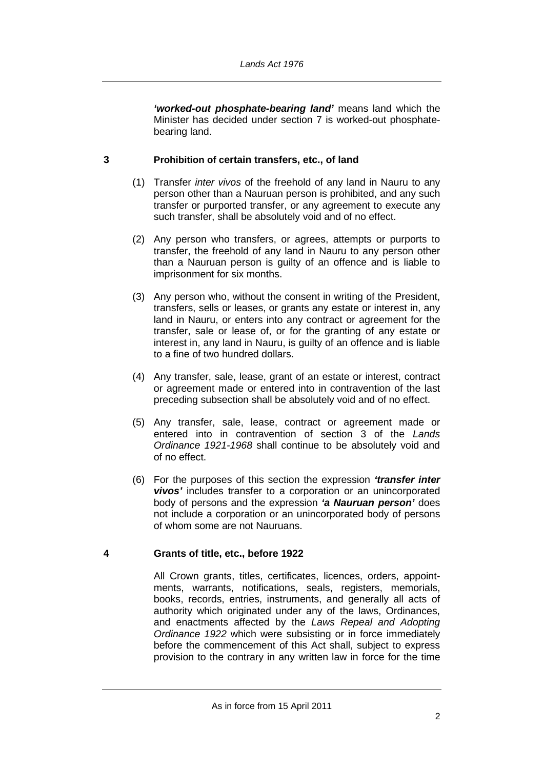*'worked-out phosphate-bearing land'* means land which the Minister has decided under section 7 is worked-out phosphatebearing land.

#### **3 Prohibition of certain transfers, etc., of land**

- (1) Transfer *inter vivos* of the freehold of any land in Nauru to any person other than a Nauruan person is prohibited, and any such transfer or purported transfer, or any agreement to execute any such transfer, shall be absolutely void and of no effect.
- (2) Any person who transfers, or agrees, attempts or purports to transfer, the freehold of any land in Nauru to any person other than a Nauruan person is guilty of an offence and is liable to imprisonment for six months.
- (3) Any person who, without the consent in writing of the President, transfers, sells or leases, or grants any estate or interest in, any land in Nauru, or enters into any contract or agreement for the transfer, sale or lease of, or for the granting of any estate or interest in, any land in Nauru, is guilty of an offence and is liable to a fine of two hundred dollars.
- (4) Any transfer, sale, lease, grant of an estate or interest, contract or agreement made or entered into in contravention of the last preceding subsection shall be absolutely void and of no effect.
- (5) Any transfer, sale, lease, contract or agreement made or entered into in contravention of section 3 of the *Lands Ordinance 1921-1968* shall continue to be absolutely void and of no effect.
- (6) For the purposes of this section the expression *'transfer inter vivos'* includes transfer to a corporation or an unincorporated body of persons and the expression *'a Nauruan person'* does not include a corporation or an unincorporated body of persons of whom some are not Nauruans.

#### **4 Grants of title, etc., before 1922**

All Crown grants, titles, certificates, licences, orders, appointments, warrants, notifications, seals, registers, memorials, books, records, entries, instruments, and generally all acts of authority which originated under any of the laws, Ordinances, and enactments affected by the *Laws Repeal and Adopting Ordinance 1922* which were subsisting or in force immediately before the commencement of this Act shall, subject to express provision to the contrary in any written law in force for the time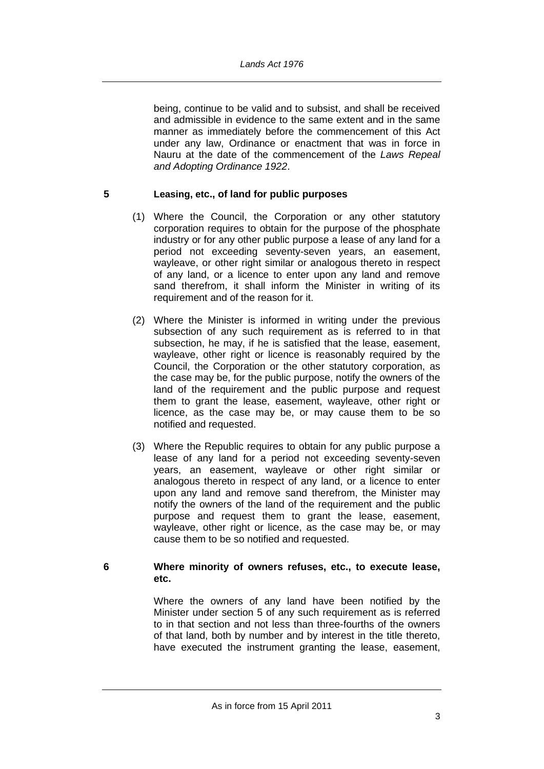being, continue to be valid and to subsist, and shall be received and admissible in evidence to the same extent and in the same manner as immediately before the commencement of this Act under any law, Ordinance or enactment that was in force in Nauru at the date of the commencement of the *Laws Repeal and Adopting Ordinance 1922*.

#### **5 Leasing, etc., of land for public purposes**

- (1) Where the Council, the Corporation or any other statutory corporation requires to obtain for the purpose of the phosphate industry or for any other public purpose a lease of any land for a period not exceeding seventy-seven years, an easement, wayleave, or other right similar or analogous thereto in respect of any land, or a licence to enter upon any land and remove sand therefrom, it shall inform the Minister in writing of its requirement and of the reason for it.
- (2) Where the Minister is informed in writing under the previous subsection of any such requirement as is referred to in that subsection, he may, if he is satisfied that the lease, easement, wayleave, other right or licence is reasonably required by the Council, the Corporation or the other statutory corporation, as the case may be, for the public purpose, notify the owners of the land of the requirement and the public purpose and request them to grant the lease, easement, wayleave, other right or licence, as the case may be, or may cause them to be so notified and requested.
- (3) Where the Republic requires to obtain for any public purpose a lease of any land for a period not exceeding seventy-seven years, an easement, wayleave or other right similar or analogous thereto in respect of any land, or a licence to enter upon any land and remove sand therefrom, the Minister may notify the owners of the land of the requirement and the public purpose and request them to grant the lease, easement, wayleave, other right or licence, as the case may be, or may cause them to be so notified and requested.

#### **6 Where minority of owners refuses, etc., to execute lease, etc.**

Where the owners of any land have been notified by the Minister under section 5 of any such requirement as is referred to in that section and not less than three-fourths of the owners of that land, both by number and by interest in the title thereto, have executed the instrument granting the lease, easement,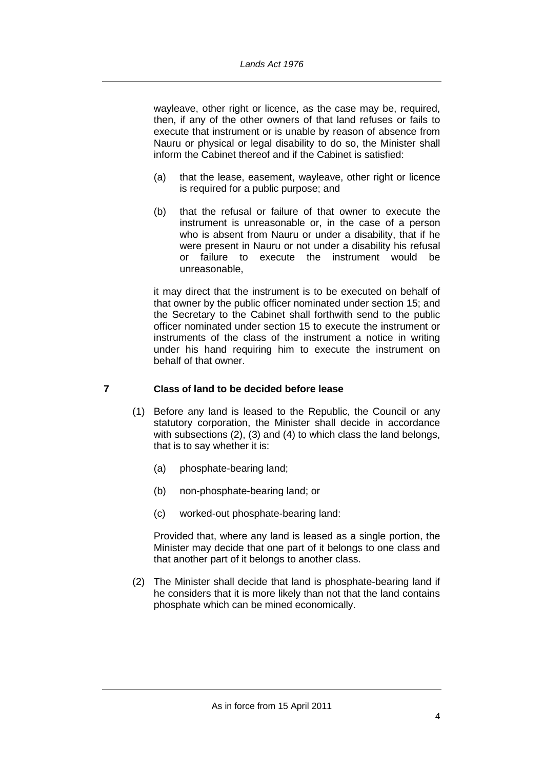wayleave, other right or licence, as the case may be, required, then, if any of the other owners of that land refuses or fails to execute that instrument or is unable by reason of absence from Nauru or physical or legal disability to do so, the Minister shall inform the Cabinet thereof and if the Cabinet is satisfied:

- (a) that the lease, easement, wayleave, other right or licence is required for a public purpose; and
- (b) that the refusal or failure of that owner to execute the instrument is unreasonable or, in the case of a person who is absent from Nauru or under a disability, that if he were present in Nauru or not under a disability his refusal or failure to execute the instrument would be unreasonable,

it may direct that the instrument is to be executed on behalf of that owner by the public officer nominated under section 15; and the Secretary to the Cabinet shall forthwith send to the public officer nominated under section 15 to execute the instrument or instruments of the class of the instrument a notice in writing under his hand requiring him to execute the instrument on behalf of that owner.

### **7 Class of land to be decided before lease**

- (1) Before any land is leased to the Republic, the Council or any statutory corporation, the Minister shall decide in accordance with subsections (2), (3) and (4) to which class the land belongs, that is to say whether it is:
	- (a) phosphate-bearing land;
	- (b) non-phosphate-bearing land; or
	- (c) worked-out phosphate-bearing land:

Provided that, where any land is leased as a single portion, the Minister may decide that one part of it belongs to one class and that another part of it belongs to another class.

(2) The Minister shall decide that land is phosphate-bearing land if he considers that it is more likely than not that the land contains phosphate which can be mined economically.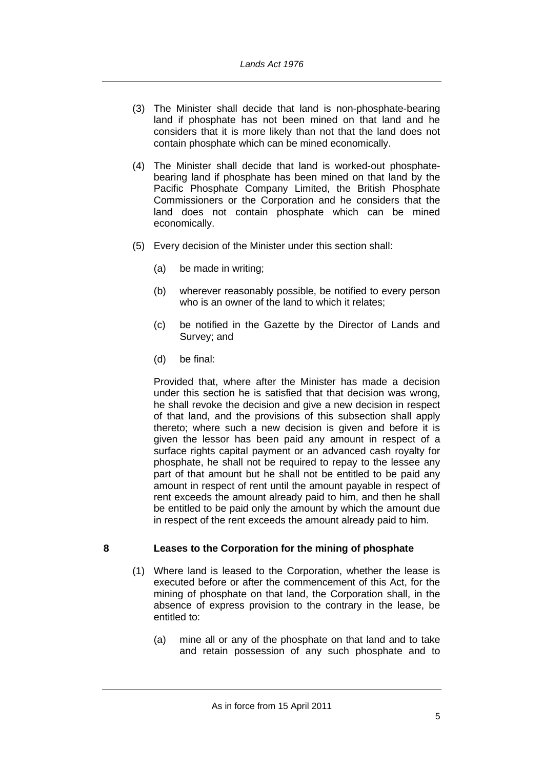- (3) The Minister shall decide that land is non-phosphate-bearing land if phosphate has not been mined on that land and he considers that it is more likely than not that the land does not contain phosphate which can be mined economically.
- (4) The Minister shall decide that land is worked-out phosphatebearing land if phosphate has been mined on that land by the Pacific Phosphate Company Limited, the British Phosphate Commissioners or the Corporation and he considers that the land does not contain phosphate which can be mined economically.
- (5) Every decision of the Minister under this section shall:
	- (a) be made in writing;
	- (b) wherever reasonably possible, be notified to every person who is an owner of the land to which it relates;
	- (c) be notified in the Gazette by the Director of Lands and Survey; and
	- (d) be final:

Provided that, where after the Minister has made a decision under this section he is satisfied that that decision was wrong, he shall revoke the decision and give a new decision in respect of that land, and the provisions of this subsection shall apply thereto; where such a new decision is given and before it is given the lessor has been paid any amount in respect of a surface rights capital payment or an advanced cash royalty for phosphate, he shall not be required to repay to the lessee any part of that amount but he shall not be entitled to be paid any amount in respect of rent until the amount payable in respect of rent exceeds the amount already paid to him, and then he shall be entitled to be paid only the amount by which the amount due in respect of the rent exceeds the amount already paid to him.

#### **8 Leases to the Corporation for the mining of phosphate**

- (1) Where land is leased to the Corporation, whether the lease is executed before or after the commencement of this Act, for the mining of phosphate on that land, the Corporation shall, in the absence of express provision to the contrary in the lease, be entitled to:
	- (a) mine all or any of the phosphate on that land and to take and retain possession of any such phosphate and to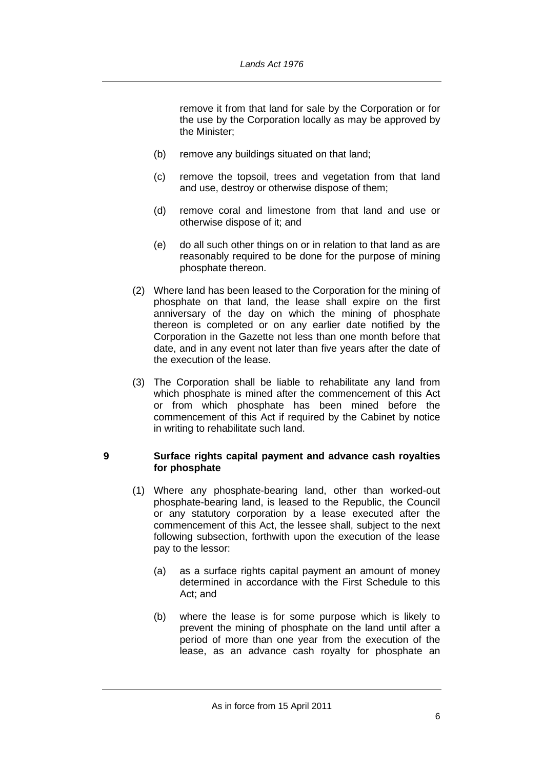remove it from that land for sale by the Corporation or for the use by the Corporation locally as may be approved by the Minister;

- (b) remove any buildings situated on that land;
- (c) remove the topsoil, trees and vegetation from that land and use, destroy or otherwise dispose of them;
- (d) remove coral and limestone from that land and use or otherwise dispose of it; and
- (e) do all such other things on or in relation to that land as are reasonably required to be done for the purpose of mining phosphate thereon.
- (2) Where land has been leased to the Corporation for the mining of phosphate on that land, the lease shall expire on the first anniversary of the day on which the mining of phosphate thereon is completed or on any earlier date notified by the Corporation in the Gazette not less than one month before that date, and in any event not later than five years after the date of the execution of the lease.
- (3) The Corporation shall be liable to rehabilitate any land from which phosphate is mined after the commencement of this Act or from which phosphate has been mined before the commencement of this Act if required by the Cabinet by notice in writing to rehabilitate such land.

#### **9 Surface rights capital payment and advance cash royalties for phosphate**

- (1) Where any phosphate-bearing land, other than worked-out phosphate-bearing land, is leased to the Republic, the Council or any statutory corporation by a lease executed after the commencement of this Act, the lessee shall, subject to the next following subsection, forthwith upon the execution of the lease pay to the lessor:
	- (a) as a surface rights capital payment an amount of money determined in accordance with the First Schedule to this Act; and
	- (b) where the lease is for some purpose which is likely to prevent the mining of phosphate on the land until after a period of more than one year from the execution of the lease, as an advance cash royalty for phosphate an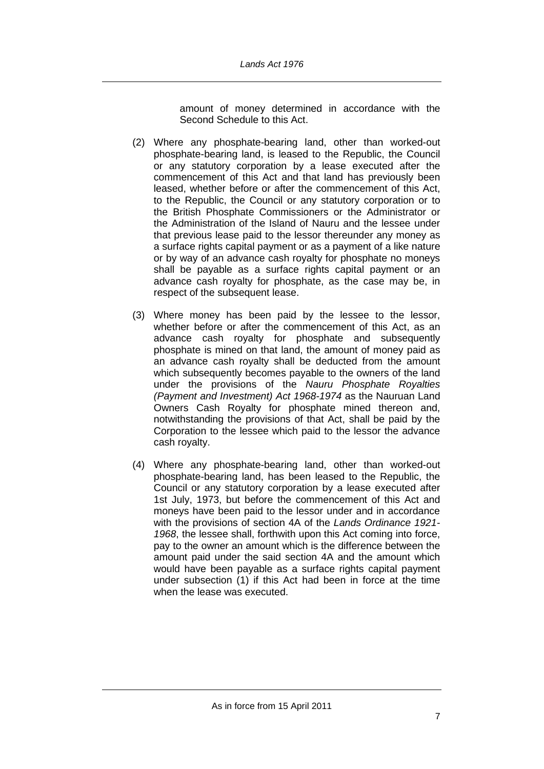amount of money determined in accordance with the Second Schedule to this Act.

- (2) Where any phosphate-bearing land, other than worked-out phosphate-bearing land, is leased to the Republic, the Council or any statutory corporation by a lease executed after the commencement of this Act and that land has previously been leased, whether before or after the commencement of this Act, to the Republic, the Council or any statutory corporation or to the British Phosphate Commissioners or the Administrator or the Administration of the Island of Nauru and the lessee under that previous lease paid to the lessor thereunder any money as a surface rights capital payment or as a payment of a like nature or by way of an advance cash royalty for phosphate no moneys shall be payable as a surface rights capital payment or an advance cash royalty for phosphate, as the case may be, in respect of the subsequent lease.
- (3) Where money has been paid by the lessee to the lessor, whether before or after the commencement of this Act, as an advance cash royalty for phosphate and subsequently phosphate is mined on that land, the amount of money paid as an advance cash royalty shall be deducted from the amount which subsequently becomes payable to the owners of the land under the provisions of the *Nauru Phosphate Royalties (Payment and Investment) Act 1968-1974* as the Nauruan Land Owners Cash Royalty for phosphate mined thereon and, notwithstanding the provisions of that Act, shall be paid by the Corporation to the lessee which paid to the lessor the advance cash royalty.
- (4) Where any phosphate-bearing land, other than worked-out phosphate-bearing land, has been leased to the Republic, the Council or any statutory corporation by a lease executed after 1st July, 1973, but before the commencement of this Act and moneys have been paid to the lessor under and in accordance with the provisions of section 4A of the *Lands Ordinance 1921- 1968*, the lessee shall, forthwith upon this Act coming into force, pay to the owner an amount which is the difference between the amount paid under the said section 4A and the amount which would have been payable as a surface rights capital payment under subsection (1) if this Act had been in force at the time when the lease was executed.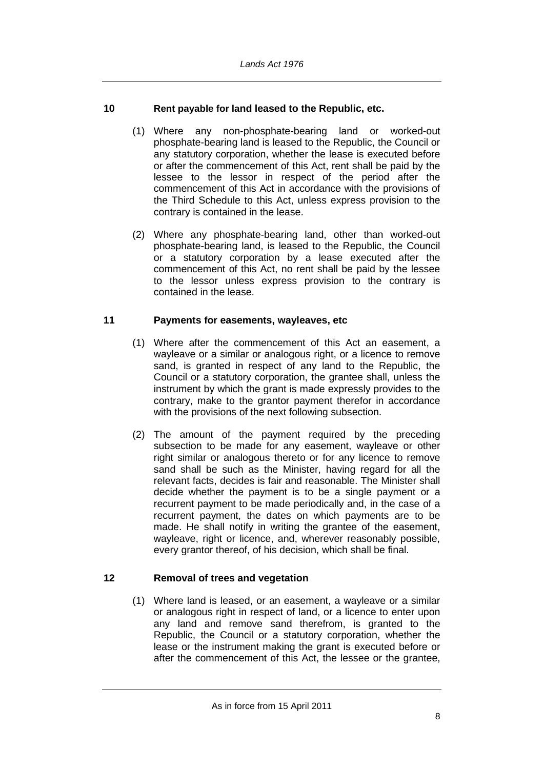#### **10 Rent payable for land leased to the Republic, etc.**

- (1) Where any non-phosphate-bearing land or worked-out phosphate-bearing land is leased to the Republic, the Council or any statutory corporation, whether the lease is executed before or after the commencement of this Act, rent shall be paid by the lessee to the lessor in respect of the period after the commencement of this Act in accordance with the provisions of the Third Schedule to this Act, unless express provision to the contrary is contained in the lease.
- (2) Where any phosphate-bearing land, other than worked-out phosphate-bearing land, is leased to the Republic, the Council or a statutory corporation by a lease executed after the commencement of this Act, no rent shall be paid by the lessee to the lessor unless express provision to the contrary is contained in the lease.

#### **11 Payments for easements, wayleaves, etc**

- (1) Where after the commencement of this Act an easement, a wayleave or a similar or analogous right, or a licence to remove sand, is granted in respect of any land to the Republic, the Council or a statutory corporation, the grantee shall, unless the instrument by which the grant is made expressly provides to the contrary, make to the grantor payment therefor in accordance with the provisions of the next following subsection.
- (2) The amount of the payment required by the preceding subsection to be made for any easement, wayleave or other right similar or analogous thereto or for any licence to remove sand shall be such as the Minister, having regard for all the relevant facts, decides is fair and reasonable. The Minister shall decide whether the payment is to be a single payment or a recurrent payment to be made periodically and, in the case of a recurrent payment, the dates on which payments are to be made. He shall notify in writing the grantee of the easement, wayleave, right or licence, and, wherever reasonably possible, every grantor thereof, of his decision, which shall be final.

#### **12 Removal of trees and vegetation**

(1) Where land is leased, or an easement, a wayleave or a similar or analogous right in respect of land, or a licence to enter upon any land and remove sand therefrom, is granted to the Republic, the Council or a statutory corporation, whether the lease or the instrument making the grant is executed before or after the commencement of this Act, the lessee or the grantee,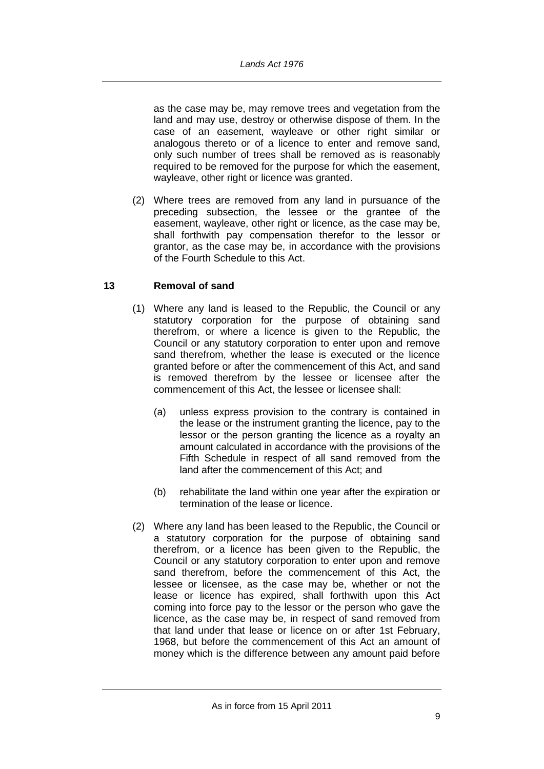as the case may be, may remove trees and vegetation from the land and may use, destroy or otherwise dispose of them. In the case of an easement, wayleave or other right similar or analogous thereto or of a licence to enter and remove sand, only such number of trees shall be removed as is reasonably required to be removed for the purpose for which the easement, wayleave, other right or licence was granted.

(2) Where trees are removed from any land in pursuance of the preceding subsection, the lessee or the grantee of the easement, wayleave, other right or licence, as the case may be, shall forthwith pay compensation therefor to the lessor or grantor, as the case may be, in accordance with the provisions of the Fourth Schedule to this Act.

#### **13 Removal of sand**

- (1) Where any land is leased to the Republic, the Council or any statutory corporation for the purpose of obtaining sand therefrom, or where a licence is given to the Republic, the Council or any statutory corporation to enter upon and remove sand therefrom, whether the lease is executed or the licence granted before or after the commencement of this Act, and sand is removed therefrom by the lessee or licensee after the commencement of this Act, the lessee or licensee shall:
	- (a) unless express provision to the contrary is contained in the lease or the instrument granting the licence, pay to the lessor or the person granting the licence as a royalty an amount calculated in accordance with the provisions of the Fifth Schedule in respect of all sand removed from the land after the commencement of this Act; and
	- (b) rehabilitate the land within one year after the expiration or termination of the lease or licence.
- (2) Where any land has been leased to the Republic, the Council or a statutory corporation for the purpose of obtaining sand therefrom, or a licence has been given to the Republic, the Council or any statutory corporation to enter upon and remove sand therefrom, before the commencement of this Act, the lessee or licensee, as the case may be, whether or not the lease or licence has expired, shall forthwith upon this Act coming into force pay to the lessor or the person who gave the licence, as the case may be, in respect of sand removed from that land under that lease or licence on or after 1st February, 1968, but before the commencement of this Act an amount of money which is the difference between any amount paid before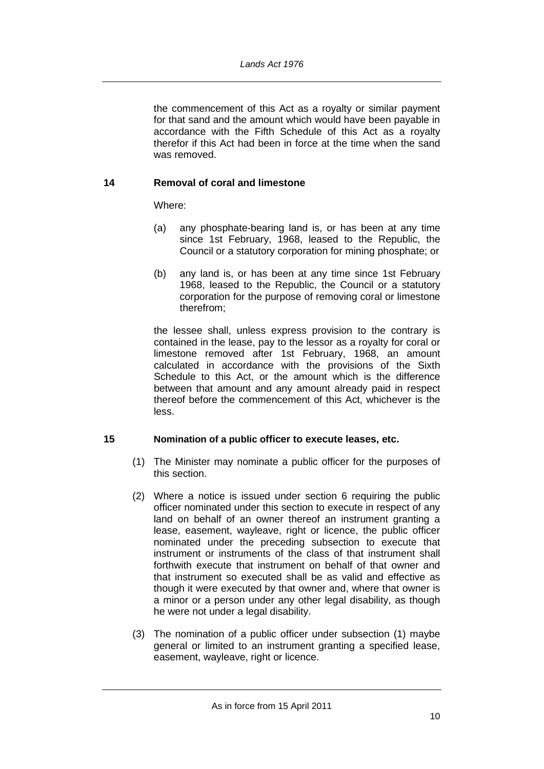the commencement of this Act as a royalty or similar payment for that sand and the amount which would have been payable in accordance with the Fifth Schedule of this Act as a royalty therefor if this Act had been in force at the time when the sand was removed.

#### **14 Removal of coral and limestone**

Where:

- (a) any phosphate-bearing land is, or has been at any time since 1st February, 1968, leased to the Republic, the Council or a statutory corporation for mining phosphate; or
- (b) any land is, or has been at any time since 1st February 1968, leased to the Republic, the Council or a statutory corporation for the purpose of removing coral or limestone therefrom;

the lessee shall, unless express provision to the contrary is contained in the lease, pay to the lessor as a royalty for coral or limestone removed after 1st February, 1968, an amount calculated in accordance with the provisions of the Sixth Schedule to this Act, or the amount which is the difference between that amount and any amount already paid in respect thereof before the commencement of this Act, whichever is the less.

#### **15 Nomination of a public officer to execute leases, etc.**

- (1) The Minister may nominate a public officer for the purposes of this section.
- (2) Where a notice is issued under section 6 requiring the public officer nominated under this section to execute in respect of any land on behalf of an owner thereof an instrument granting a lease, easement, wayleave, right or licence, the public officer nominated under the preceding subsection to execute that instrument or instruments of the class of that instrument shall forthwith execute that instrument on behalf of that owner and that instrument so executed shall be as valid and effective as though it were executed by that owner and, where that owner is a minor or a person under any other legal disability, as though he were not under a legal disability.
- (3) The nomination of a public officer under subsection (1) maybe general or limited to an instrument granting a specified lease, easement, wayleave, right or licence.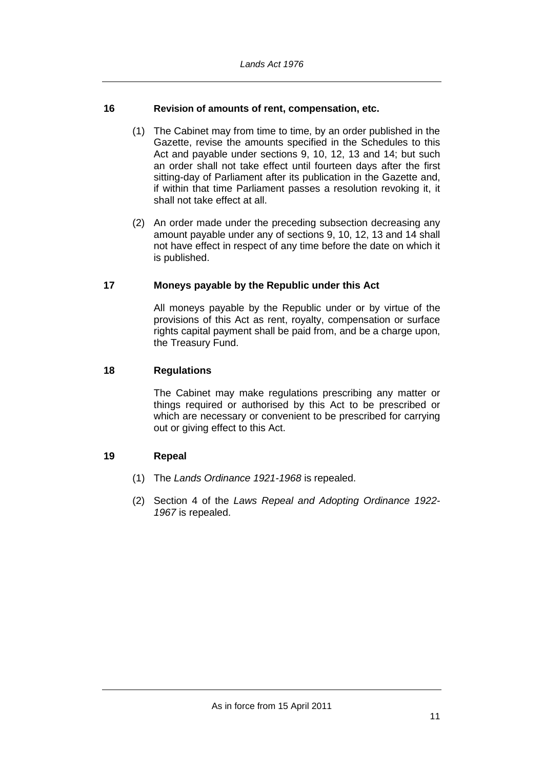#### **16 Revision of amounts of rent, compensation, etc.**

- (1) The Cabinet may from time to time, by an order published in the Gazette, revise the amounts specified in the Schedules to this Act and payable under sections 9, 10, 12, 13 and 14; but such an order shall not take effect until fourteen days after the first sitting-day of Parliament after its publication in the Gazette and, if within that time Parliament passes a resolution revoking it, it shall not take effect at all.
- (2) An order made under the preceding subsection decreasing any amount payable under any of sections 9, 10, 12, 13 and 14 shall not have effect in respect of any time before the date on which it is published.

#### **17 Moneys payable by the Republic under this Act**

All moneys payable by the Republic under or by virtue of the provisions of this Act as rent, royalty, compensation or surface rights capital payment shall be paid from, and be a charge upon, the Treasury Fund.

#### **18 Regulations**

The Cabinet may make regulations prescribing any matter or things required or authorised by this Act to be prescribed or which are necessary or convenient to be prescribed for carrying out or giving effect to this Act.

#### **19 Repeal**

- (1) The *Lands Ordinance 1921-1968* is repealed.
- (2) Section 4 of the *Laws Repeal and Adopting Ordinance 1922- 1967* is repealed.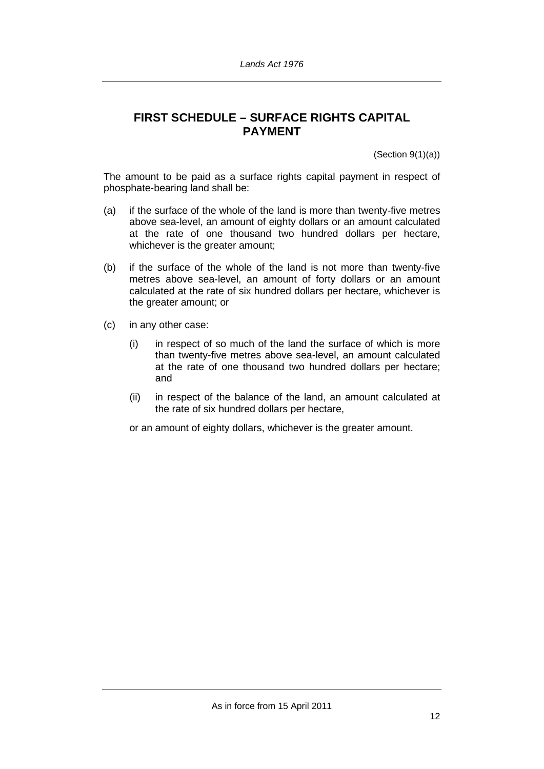# **FIRST SCHEDULE – SURFACE RIGHTS CAPITAL PAYMENT**

 $(Section 9(1)(a))$ 

The amount to be paid as a surface rights capital payment in respect of phosphate-bearing land shall be:

- (a) if the surface of the whole of the land is more than twenty-five metres above sea-level, an amount of eighty dollars or an amount calculated at the rate of one thousand two hundred dollars per hectare, whichever is the greater amount;
- (b) if the surface of the whole of the land is not more than twenty-five metres above sea-level, an amount of forty dollars or an amount calculated at the rate of six hundred dollars per hectare, whichever is the greater amount; or
- (c) in any other case:
	- (i) in respect of so much of the land the surface of which is more than twenty-five metres above sea-level, an amount calculated at the rate of one thousand two hundred dollars per hectare; and
	- (ii) in respect of the balance of the land, an amount calculated at the rate of six hundred dollars per hectare,

or an amount of eighty dollars, whichever is the greater amount.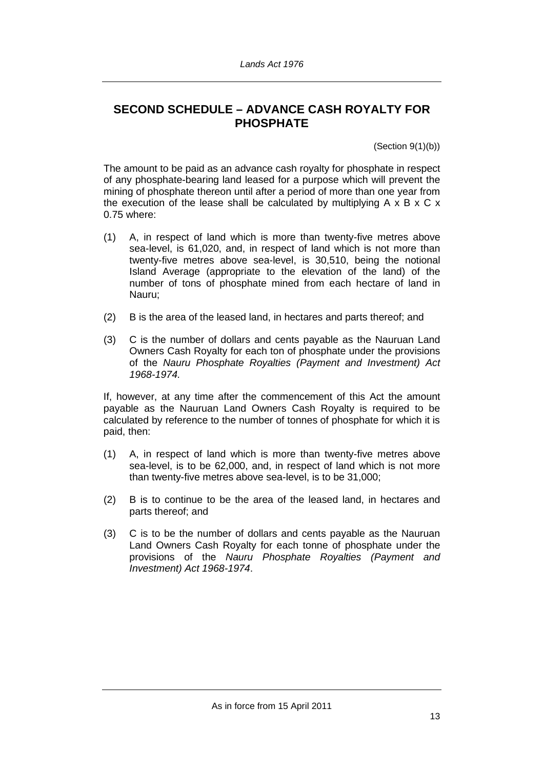# **SECOND SCHEDULE – ADVANCE CASH ROYALTY FOR PHOSPHATE**

(Section 9(1)(b))

The amount to be paid as an advance cash royalty for phosphate in respect of any phosphate-bearing land leased for a purpose which will prevent the mining of phosphate thereon until after a period of more than one year from the execution of the lease shall be calculated by multiplying  $A \times B \times C \times$ 0.75 where:

- (1) A, in respect of land which is more than twenty-five metres above sea-level, is 61,020, and, in respect of land which is not more than twenty-five metres above sea-level, is 30,510, being the notional Island Average (appropriate to the elevation of the land) of the number of tons of phosphate mined from each hectare of land in Nauru;
- (2) B is the area of the leased land, in hectares and parts thereof; and
- (3) C is the number of dollars and cents payable as the Nauruan Land Owners Cash Royalty for each ton of phosphate under the provisions of the *Nauru Phosphate Royalties (Payment and Investment) Act 1968-1974.*

If, however, at any time after the commencement of this Act the amount payable as the Nauruan Land Owners Cash Royalty is required to be calculated by reference to the number of tonnes of phosphate for which it is paid, then:

- (1) A, in respect of land which is more than twenty-five metres above sea-level, is to be 62,000, and, in respect of land which is not more than twenty-five metres above sea-level, is to be 31,000;
- (2) B is to continue to be the area of the leased land, in hectares and parts thereof; and
- (3) C is to be the number of dollars and cents payable as the Nauruan Land Owners Cash Royalty for each tonne of phosphate under the provisions of the *Nauru Phosphate Royalties (Payment and Investment) Act 1968-1974*.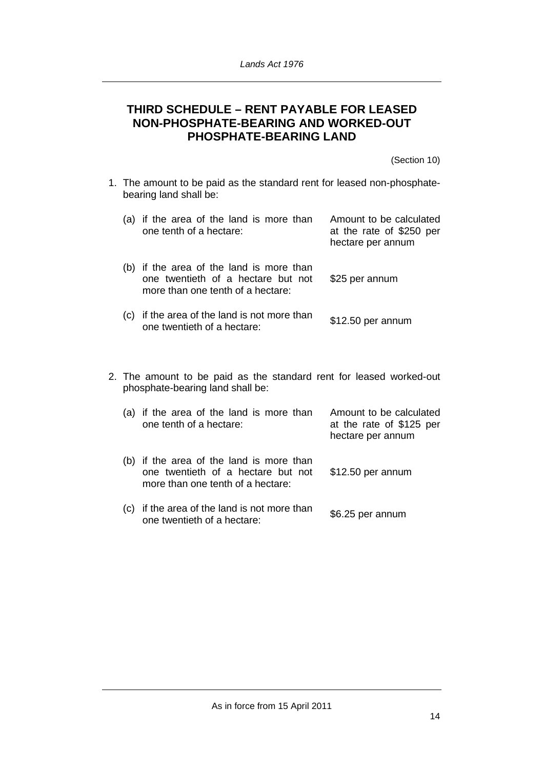## **THIRD SCHEDULE – RENT PAYABLE FOR LEASED NON-PHOSPHATE-BEARING AND WORKED-OUT PHOSPHATE-BEARING LAND**

(Section 10)

1. The amount to be paid as the standard rent for leased non-phosphatebearing land shall be:

| (a) | if the area of the land is more than<br>one tenth of a hectare:                                                 | Amount to be calculated<br>at the rate of \$250 per<br>hectare per annum |
|-----|-----------------------------------------------------------------------------------------------------------------|--------------------------------------------------------------------------|
| (b) | if the area of the land is more than<br>one twentieth of a hectare but not<br>more than one tenth of a hectare: | \$25 per annum                                                           |
|     | (c) if the area of the land is not more than<br>one twentieth of a hectare:                                     | \$12.50 per annum                                                        |

2. The amount to be paid as the standard rent for leased worked-out phosphate-bearing land shall be:

| (a) | if the area of the land is more than<br>one tenth of a hectare:                                                 | Amount to be calculated<br>at the rate of \$125 per<br>hectare per annum |
|-----|-----------------------------------------------------------------------------------------------------------------|--------------------------------------------------------------------------|
| (b) | if the area of the land is more than<br>one twentieth of a hectare but not<br>more than one tenth of a hectare: | \$12.50 per annum                                                        |
|     | (c) if the area of the land is not more than<br>one twentieth of a hectare:                                     | \$6.25 per annum                                                         |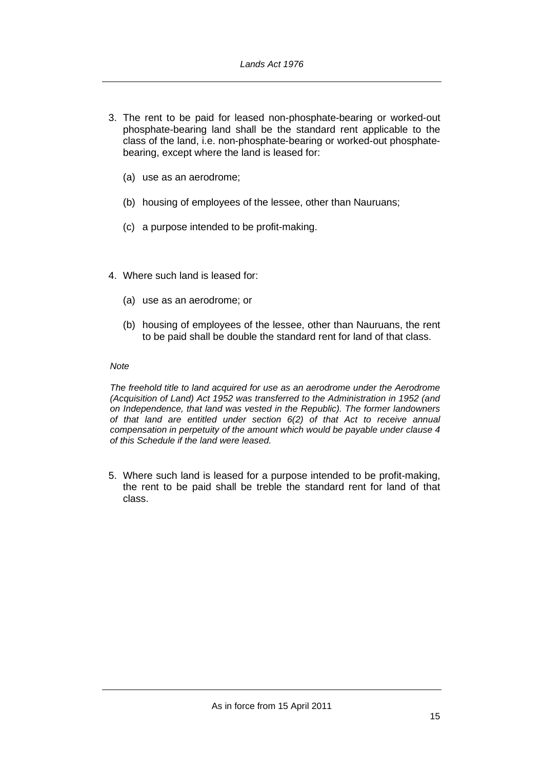- 3. The rent to be paid for leased non-phosphate-bearing or worked-out phosphate-bearing land shall be the standard rent applicable to the class of the land, i.e. non-phosphate-bearing or worked-out phosphatebearing, except where the land is leased for:
	- (a) use as an aerodrome;
	- (b) housing of employees of the lessee, other than Nauruans;
	- (c) a purpose intended to be profit-making.
- 4. Where such land is leased for:
	- (a) use as an aerodrome; or
	- (b) housing of employees of the lessee, other than Nauruans, the rent to be paid shall be double the standard rent for land of that class.

#### *Note*

*The freehold title to land acquired for use as an aerodrome under the Aerodrome (Acquisition of Land) Act 1952 was transferred to the Administration in 1952 (and on Independence, that land was vested in the Republic). The former landowners of that land are entitled under section 6(2) of that Act to receive annual compensation in perpetuity of the amount which would be payable under clause 4 of this Schedule if the land were leased.*

5. Where such land is leased for a purpose intended to be profit-making, the rent to be paid shall be treble the standard rent for land of that class.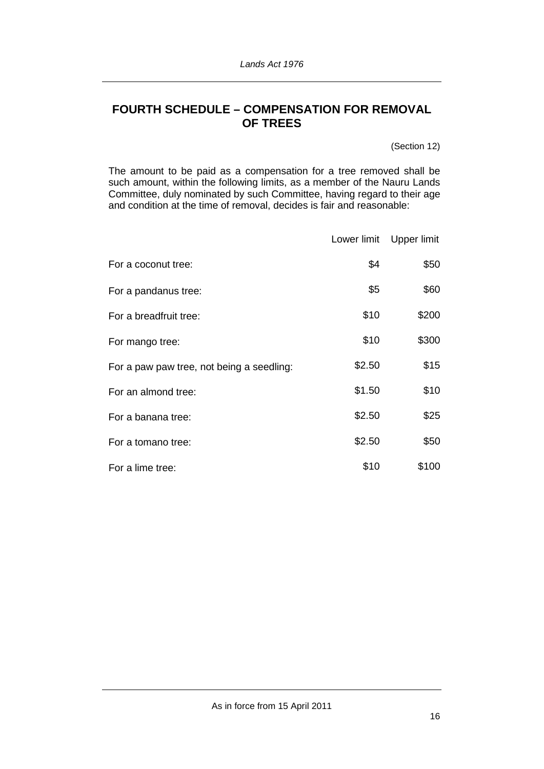# **FOURTH SCHEDULE – COMPENSATION FOR REMOVAL OF TREES**

(Section 12)

The amount to be paid as a compensation for a tree removed shall be such amount, within the following limits, as a member of the Nauru Lands Committee, duly nominated by such Committee, having regard to their age and condition at the time of removal, decides is fair and reasonable:

|                                           | Lower limit | Upper limit |
|-------------------------------------------|-------------|-------------|
| For a coconut tree:                       | \$4         | \$50        |
| For a pandanus tree:                      | \$5         | \$60        |
| For a breadfruit tree:                    | \$10        | \$200       |
| For mango tree:                           | \$10        | \$300       |
| For a paw paw tree, not being a seedling: | \$2.50      | \$15        |
| For an almond tree:                       | \$1.50      | \$10        |
| For a banana tree:                        | \$2.50      | \$25        |
| For a tomano tree:                        | \$2.50      | \$50        |
| For a lime tree:                          | \$10        | \$100       |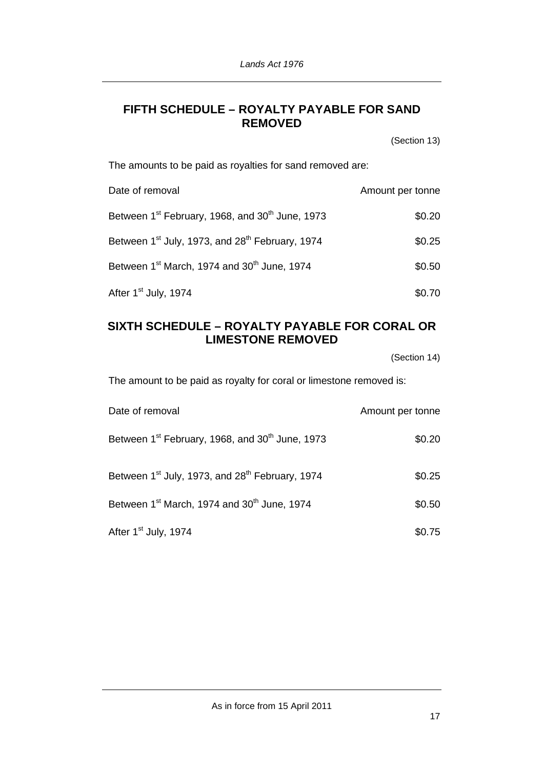# **FIFTH SCHEDULE – ROYALTY PAYABLE FOR SAND REMOVED**

(Section 13)

The amounts to be paid as royalties for sand removed are:

| Date of removal                                                         | Amount per tonne |
|-------------------------------------------------------------------------|------------------|
| Between 1 <sup>st</sup> February, 1968, and 30 <sup>th</sup> June, 1973 | \$0.20           |
| Between 1 <sup>st</sup> July, 1973, and 28 <sup>th</sup> February, 1974 | \$0.25           |
| Between 1 <sup>st</sup> March, 1974 and 30 <sup>th</sup> June, 1974     | \$0.50           |
| After 1 <sup>st</sup> July, 1974                                        | \$0.70           |

# **SIXTH SCHEDULE – ROYALTY PAYABLE FOR CORAL OR LIMESTONE REMOVED**

(Section 14)

The amount to be paid as royalty for coral or limestone removed is:

| Date of removal                                                         | Amount per tonne |
|-------------------------------------------------------------------------|------------------|
| Between 1 <sup>st</sup> February, 1968, and 30 <sup>th</sup> June, 1973 | \$0.20           |
| Between 1 <sup>st</sup> July, 1973, and 28 <sup>th</sup> February, 1974 | \$0.25           |
| Between 1 <sup>st</sup> March, 1974 and 30 <sup>th</sup> June, 1974     | \$0.50           |
| After 1 <sup>st</sup> July, 1974                                        | \$0.75           |